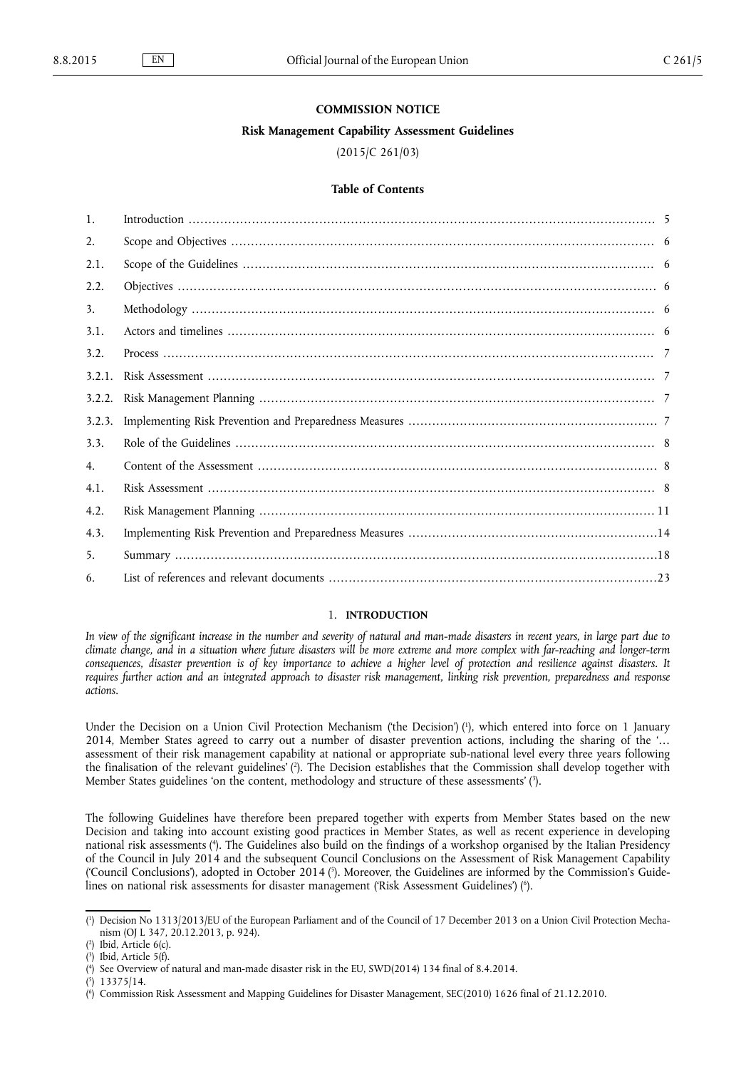#### **COMMISSION NOTICE**

### **Risk Management Capability Assessment Guidelines**

# (2015/C 261/03)

# **Table of Contents**

| $\mathbf{1}$ . |  |
|----------------|--|
| 2.             |  |
| 2.1.           |  |
| 2.2.           |  |
| 3.             |  |
| 3.1.           |  |
| 3.2.           |  |
| 3.2.1.         |  |
| 3.2.2.         |  |
| 3.2.3.         |  |
| 3.3.           |  |
| 4.             |  |
| 4.1.           |  |
| 4.2.           |  |
| 4.3.           |  |
| 5.             |  |
| 6.             |  |
|                |  |

#### 1. **INTRODUCTION**

*In view of the significant increase in the number and severity of natural and man-made disasters in recent years, in large part due to climate change, and in a situation where future disasters will be more extreme and more complex with far-reaching and longer-term consequences, disaster prevention is of key importance to achieve a higher level of protection and resilience against disasters. It requires further action and an integrated approach to disaster risk management, linking risk prevention, preparedness and response actions.*

Under the Decision on a Union Civil Protection Mechanism ('the Decision') (<sup>1</sup>), which entered into force on 1 January 2014, Member States agreed to carry out a number of disaster prevention actions, including the sharing of the '… assessment of their risk management capability at national or appropriate sub-national level every three years following the finalisation of the relevant guidelines' ( 2 ). The Decision establishes that the Commission shall develop together with Member States guidelines 'on the content, methodology and structure of these assessments' (?).

The following Guidelines have therefore been prepared together with experts from Member States based on the new Decision and taking into account existing good practices in Member States, as well as recent experience in developing national risk assessments ( 4 ). The Guidelines also build on the findings of a workshop organised by the Italian Presidency of the Council in July 2014 and the subsequent Council Conclusions on the Assessment of Risk Management Capability ('Council Conclusions'), adopted in October 2014  $(3)$ . Moreover, the Guidelines are informed by the Commission's Guidelines on national risk assessments for disaster management ('Risk Assessment Guidelines') (°).

<sup>(</sup> 1 ) Decision No 1313/2013/EU of the European Parliament and of the Council of 17 December 2013 on a Union Civil Protection Mechanism (OJ L 347, 20.12.2013, p. 924).

<sup>(</sup> 2 ) Ibid, Article 6(c).

<sup>(</sup> 3 ) Ibid, Article 5(f).

<sup>(</sup> 4 ) See Overview of natural and man-made disaster risk in the EU, SWD(2014) 134 final of 8.4.2014.

<sup>(</sup> 5 ) 13375/14.

<sup>(</sup> 6 ) Commission Risk Assessment and Mapping Guidelines for Disaster Management, SEC(2010) 1626 final of 21.12.2010.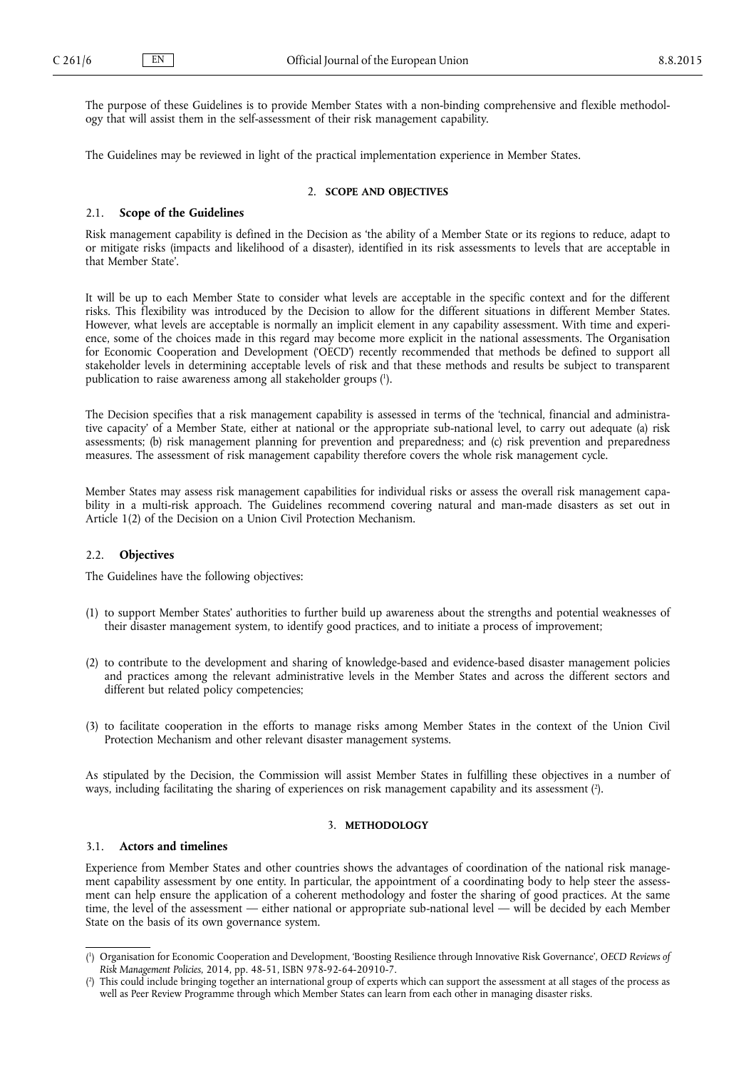<span id="page-1-0"></span>The purpose of these Guidelines is to provide Member States with a non-binding comprehensive and flexible methodology that will assist them in the self-assessment of their risk management capability.

The Guidelines may be reviewed in light of the practical implementation experience in Member States.

## 2. **SCOPE AND OBJECTIVES**

#### 2.1. **Scope of the Guidelines**

Risk management capability is defined in the Decision as 'the ability of a Member State or its regions to reduce, adapt to or mitigate risks (impacts and likelihood of a disaster), identified in its risk assessments to levels that are acceptable in that Member State'.

It will be up to each Member State to consider what levels are acceptable in the specific context and for the different risks. This flexibility was introduced by the Decision to allow for the different situations in different Member States. However, what levels are acceptable is normally an implicit element in any capability assessment. With time and experience, some of the choices made in this regard may become more explicit in the national assessments. The Organisation for Economic Cooperation and Development ('OECD') recently recommended that methods be defined to support all stakeholder levels in determining acceptable levels of risk and that these methods and results be subject to transparent publication to raise awareness among all stakeholder groups ( 1 ).

The Decision specifies that a risk management capability is assessed in terms of the 'technical, financial and administrative capacity' of a Member State, either at national or the appropriate sub-national level, to carry out adequate (a) risk assessments; (b) risk management planning for prevention and preparedness; and (c) risk prevention and preparedness measures. The assessment of risk management capability therefore covers the whole risk management cycle.

Member States may assess risk management capabilities for individual risks or assess the overall risk management capability in a multi-risk approach. The Guidelines recommend covering natural and man-made disasters as set out in Article 1(2) of the Decision on a Union Civil Protection Mechanism.

## 2.2. **Objectives**

The Guidelines have the following objectives:

- (1) to support Member States' authorities to further build up awareness about the strengths and potential weaknesses of their disaster management system, to identify good practices, and to initiate a process of improvement;
- (2) to contribute to the development and sharing of knowledge-based and evidence-based disaster management policies and practices among the relevant administrative levels in the Member States and across the different sectors and different but related policy competencies;
- (3) to facilitate cooperation in the efforts to manage risks among Member States in the context of the Union Civil Protection Mechanism and other relevant disaster management systems.

As stipulated by the Decision, the Commission will assist Member States in fulfilling these objectives in a number of ways, including facilitating the sharing of experiences on risk management capability and its assessment ( 2 ).

## 3. **METHODOLOGY**

### 3.1. **Actors and timelines**

Experience from Member States and other countries shows the advantages of coordination of the national risk management capability assessment by one entity. In particular, the appointment of a coordinating body to help steer the assessment can help ensure the application of a coherent methodology and foster the sharing of good practices. At the same time, the level of the assessment — either national or appropriate sub-national level — will be decided by each Member State on the basis of its own governance system.

<sup>(</sup> 1 ) Organisation for Economic Cooperation and Development, 'Boosting Resilience through Innovative Risk Governance', *OECD Reviews of Risk Management Policies*, 2014, pp. 48-51, ISBN 978-92-64-20910-7.

<sup>(</sup> 2 ) This could include bringing together an international group of experts which can support the assessment at all stages of the process as well as Peer Review Programme through which Member States can learn from each other in managing disaster risks.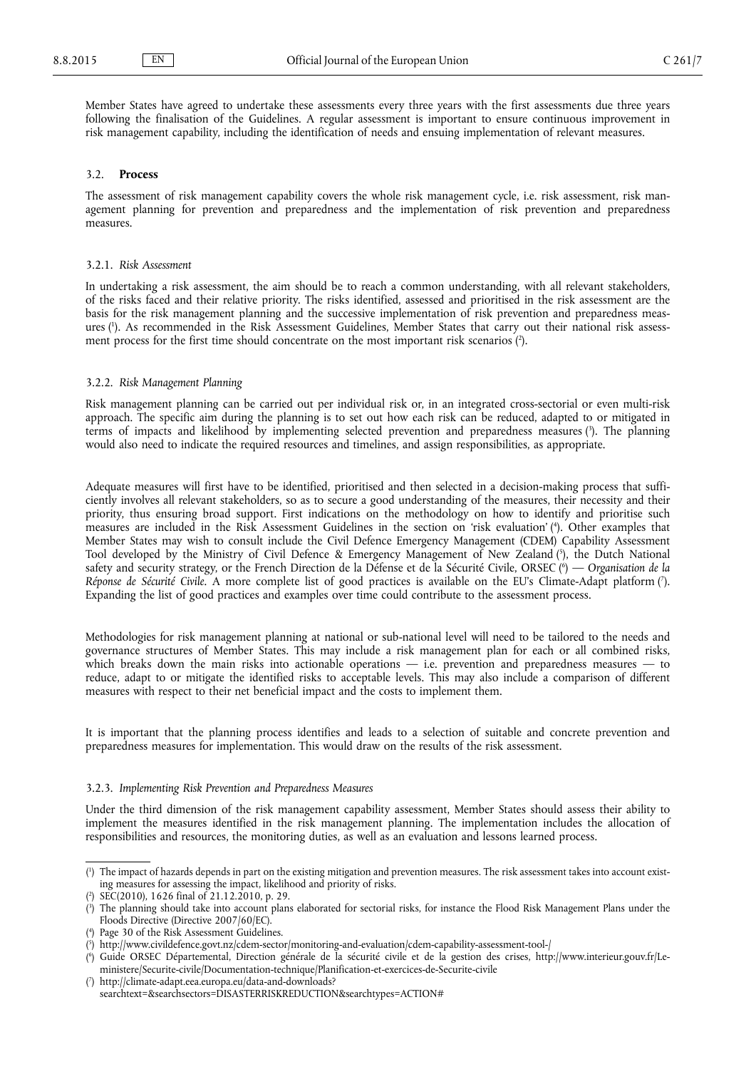<span id="page-2-0"></span>Member States have agreed to undertake these assessments every three years with the first assessments due three years following the finalisation of the Guidelines. A regular assessment is important to ensure continuous improvement in risk management capability, including the identification of needs and ensuing implementation of relevant measures.

### 3.2. **Process**

The assessment of risk management capability covers the whole risk management cycle, i.e. risk assessment, risk management planning for prevention and preparedness and the implementation of risk prevention and preparedness measures.

#### 3.2.1. *Risk Assessment*

In undertaking a risk assessment, the aim should be to reach a common understanding, with all relevant stakeholders, of the risks faced and their relative priority. The risks identified, assessed and prioritised in the risk assessment are the basis for the risk management planning and the successive implementation of risk prevention and preparedness measures ( 1 ). As recommended in the Risk Assessment Guidelines, Member States that carry out their national risk assessment process for the first time should concentrate on the most important risk scenarios  $(2)$ .

### 3.2.2. *Risk Management Planning*

Risk management planning can be carried out per individual risk or, in an integrated cross-sectorial or even multi-risk approach. The specific aim during the planning is to set out how each risk can be reduced, adapted to or mitigated in terms of impacts and likelihood by implementing selected prevention and preparedness measures ( 3 ). The planning would also need to indicate the required resources and timelines, and assign responsibilities, as appropriate.

Adequate measures will first have to be identified, prioritised and then selected in a decision-making process that sufficiently involves all relevant stakeholders, so as to secure a good understanding of the measures, their necessity and their priority, thus ensuring broad support. First indications on the methodology on how to identify and prioritise such measures are included in the Risk Assessment Guidelines in the section on 'risk evaluation' ( 4 ). Other examples that Member States may wish to consult include the Civil Defence Emergency Management (CDEM) Capability Assessment Tool developed by the Ministry of Civil Defence & Emergency Management of New Zealand (5), the Dutch National safety and security strategy, or the French Direction de la Défense et de la Sécurité Civile, ORSEC ( 6 ) — *Organisation de la*  Réponse de Sécurité Civile. A more complete list of good practices is available on the EU's Climate-Adapt platform (7). Expanding the list of good practices and examples over time could contribute to the assessment process.

Methodologies for risk management planning at national or sub-national level will need to be tailored to the needs and governance structures of Member States. This may include a risk management plan for each or all combined risks, which breaks down the main risks into actionable operations  $-$  i.e. prevention and preparedness measures  $-$  to reduce, adapt to or mitigate the identified risks to acceptable levels. This may also include a comparison of different measures with respect to their net beneficial impact and the costs to implement them.

It is important that the planning process identifies and leads to a selection of suitable and concrete prevention and preparedness measures for implementation. This would draw on the results of the risk assessment.

## 3.2.3. *Implementing Risk Prevention and Preparedness Measures*

Under the third dimension of the risk management capability assessment, Member States should assess their ability to implement the measures identified in the risk management planning. The implementation includes the allocation of responsibilities and resources, the monitoring duties, as well as an evaluation and lessons learned process.

<sup>(</sup> 1 ) The impact of hazards depends in part on the existing mitigation and prevention measures. The risk assessment takes into account existing measures for assessing the impact, likelihood and priority of risks.

<sup>(</sup> 2 ) SEC(2010), 1626 final of 21.12.2010, p. 29.

<sup>(</sup> 3 ) The planning should take into account plans elaborated for sectorial risks, for instance the Flood Risk Management Plans under the Floods Directive (Directive 2007/60/EC).

<sup>(</sup> 4 ) Page 30 of the Risk Assessment Guidelines.

<sup>(</sup> 5 ) <http://www.civildefence.govt.nz/cdem-sector/monitoring-and-evaluation/cdem-capability-assessment-tool-/>

<sup>(</sup> 6 ) Guide ORSEC Départemental, Direction générale de la sécurité civile et de la gestion des crises, [http://www.interieur.gouv.fr/Le](http://www.interieur.gouv.fr/Le-ministere/Securite-civile/Documentation-technique/Planification-et-exercices-de-Securite-civile)[ministere/Securite-civile/Documentation-technique/Planification-et-exercices-de-Securite-civile](http://www.interieur.gouv.fr/Le-ministere/Securite-civile/Documentation-technique/Planification-et-exercices-de-Securite-civile)

<sup>(</sup> 7 ) [http://climate-adapt.eea.europa.eu/data-and-downloads?](http://climate-adapt.eea.europa.eu/data-and-downloads?searchtext=&searchsectors=DISASTERRISKREDUCTION&searchtypes=ACTION#) [searchtext=&searchsectors=DISASTERRISKREDUCTION&searchtypes=ACTION#](http://climate-adapt.eea.europa.eu/data-and-downloads?searchtext=&searchsectors=DISASTERRISKREDUCTION&searchtypes=ACTION#)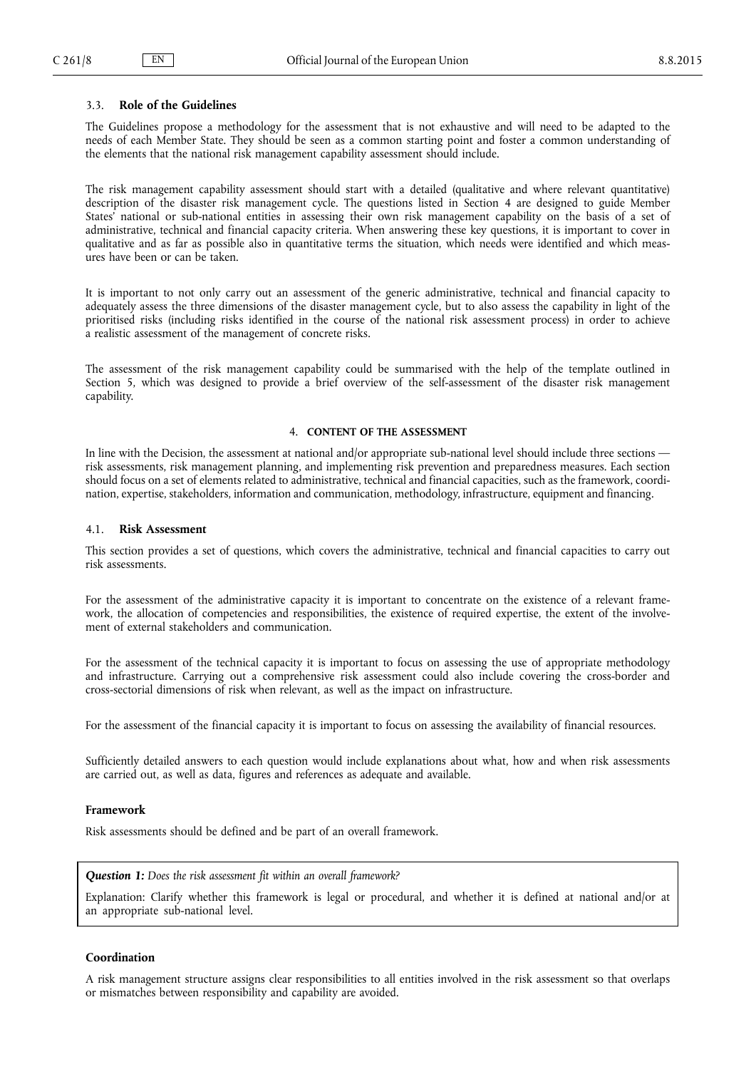# <span id="page-3-0"></span>3.3. **Role of the Guidelines**

The Guidelines propose a methodology for the assessment that is not exhaustive and will need to be adapted to the needs of each Member State. They should be seen as a common starting point and foster a common understanding of the elements that the national risk management capability assessment should include.

The risk management capability assessment should start with a detailed (qualitative and where relevant quantitative) description of the disaster risk management cycle. The questions listed in Section 4 are designed to guide Member States' national or sub-national entities in assessing their own risk management capability on the basis of a set of administrative, technical and financial capacity criteria. When answering these key questions, it is important to cover in qualitative and as far as possible also in quantitative terms the situation, which needs were identified and which measures have been or can be taken.

It is important to not only carry out an assessment of the generic administrative, technical and financial capacity to adequately assess the three dimensions of the disaster management cycle, but to also assess the capability in light of the prioritised risks (including risks identified in the course of the national risk assessment process) in order to achieve a realistic assessment of the management of concrete risks.

The assessment of the risk management capability could be summarised with the help of the template outlined in Section 5, which was designed to provide a brief overview of the self-assessment of the disaster risk management capability.

# 4. **CONTENT OF THE ASSESSMENT**

In line with the Decision, the assessment at national and/or appropriate sub-national level should include three sections risk assessments, risk management planning, and implementing risk prevention and preparedness measures. Each section should focus on a set of elements related to administrative, technical and financial capacities, such as the framework, coordination, expertise, stakeholders, information and communication, methodology, infrastructure, equipment and financing.

# 4.1. **Risk Assessment**

This section provides a set of questions, which covers the administrative, technical and financial capacities to carry out risk assessments.

For the assessment of the administrative capacity it is important to concentrate on the existence of a relevant framework, the allocation of competencies and responsibilities, the existence of required expertise, the extent of the involvement of external stakeholders and communication.

For the assessment of the technical capacity it is important to focus on assessing the use of appropriate methodology and infrastructure. Carrying out a comprehensive risk assessment could also include covering the cross-border and cross-sectorial dimensions of risk when relevant, as well as the impact on infrastructure.

For the assessment of the financial capacity it is important to focus on assessing the availability of financial resources.

Sufficiently detailed answers to each question would include explanations about what, how and when risk assessments are carried out, as well as data, figures and references as adequate and available.

### **Framework**

Risk assessments should be defined and be part of an overall framework.

### *Question 1: Does the risk assessment fit within an overall framework?*

Explanation: Clarify whether this framework is legal or procedural, and whether it is defined at national and/or at an appropriate sub-national level.

### **Coordination**

A risk management structure assigns clear responsibilities to all entities involved in the risk assessment so that overlaps or mismatches between responsibility and capability are avoided.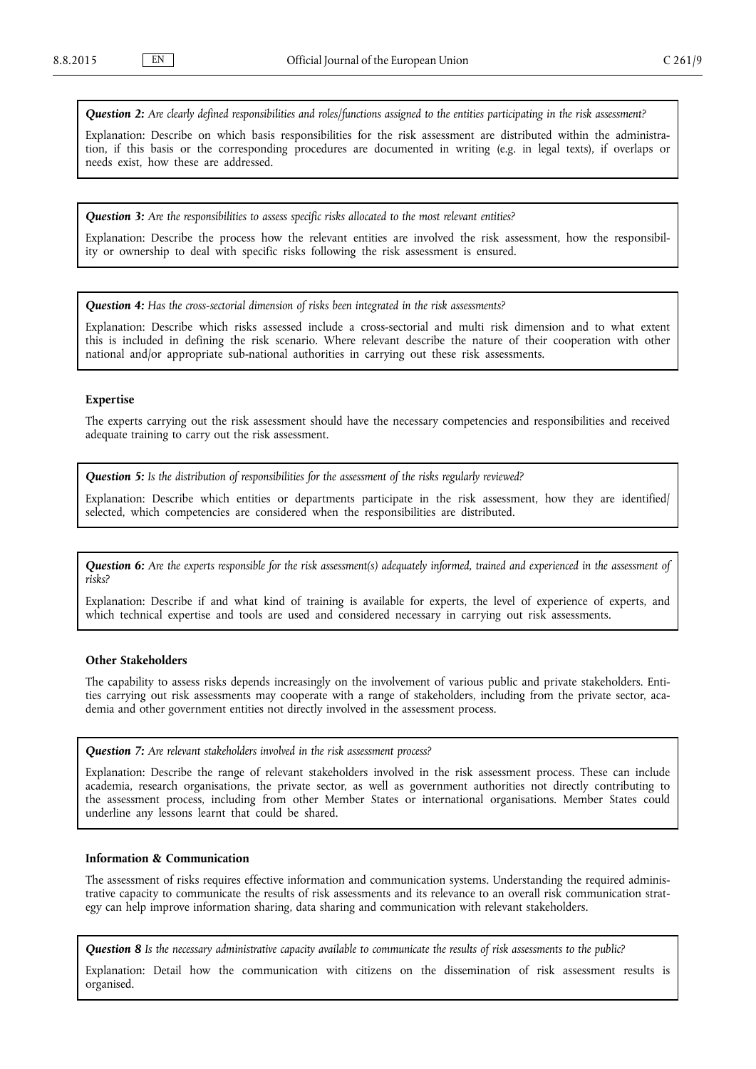*Question 2: Are clearly defined responsibilities and roles/functions assigned to the entities participating in the risk assessment?*

Explanation: Describe on which basis responsibilities for the risk assessment are distributed within the administration, if this basis or the corresponding procedures are documented in writing (e.g. in legal texts), if overlaps or needs exist, how these are addressed.

*Question 3: Are the responsibilities to assess specific risks allocated to the most relevant entities?*

Explanation: Describe the process how the relevant entities are involved the risk assessment, how the responsibility or ownership to deal with specific risks following the risk assessment is ensured.

*Question 4: Has the cross-sectorial dimension of risks been integrated in the risk assessments?*

Explanation: Describe which risks assessed include a cross-sectorial and multi risk dimension and to what extent this is included in defining the risk scenario. Where relevant describe the nature of their cooperation with other national and/or appropriate sub-national authorities in carrying out these risk assessments.

### **Expertise**

The experts carrying out the risk assessment should have the necessary competencies and responsibilities and received adequate training to carry out the risk assessment.

*Question 5: Is the distribution of responsibilities for the assessment of the risks regularly reviewed?*

Explanation: Describe which entities or departments participate in the risk assessment, how they are identified/ selected, which competencies are considered when the responsibilities are distributed.

*Question 6: Are the experts responsible for the risk assessment(s) adequately informed, trained and experienced in the assessment of risks?*

Explanation: Describe if and what kind of training is available for experts, the level of experience of experts, and which technical expertise and tools are used and considered necessary in carrying out risk assessments.

# **Other Stakeholders**

The capability to assess risks depends increasingly on the involvement of various public and private stakeholders. Entities carrying out risk assessments may cooperate with a range of stakeholders, including from the private sector, academia and other government entities not directly involved in the assessment process.

*Question 7: Are relevant stakeholders involved in the risk assessment process?*

Explanation: Describe the range of relevant stakeholders involved in the risk assessment process. These can include academia, research organisations, the private sector, as well as government authorities not directly contributing to the assessment process, including from other Member States or international organisations. Member States could underline any lessons learnt that could be shared.

## **Information & Communication**

The assessment of risks requires effective information and communication systems. Understanding the required administrative capacity to communicate the results of risk assessments and its relevance to an overall risk communication strategy can help improve information sharing, data sharing and communication with relevant stakeholders.

*Question 8 Is the necessary administrative capacity available to communicate the results of risk assessments to the public?*

Explanation: Detail how the communication with citizens on the dissemination of risk assessment results is organised.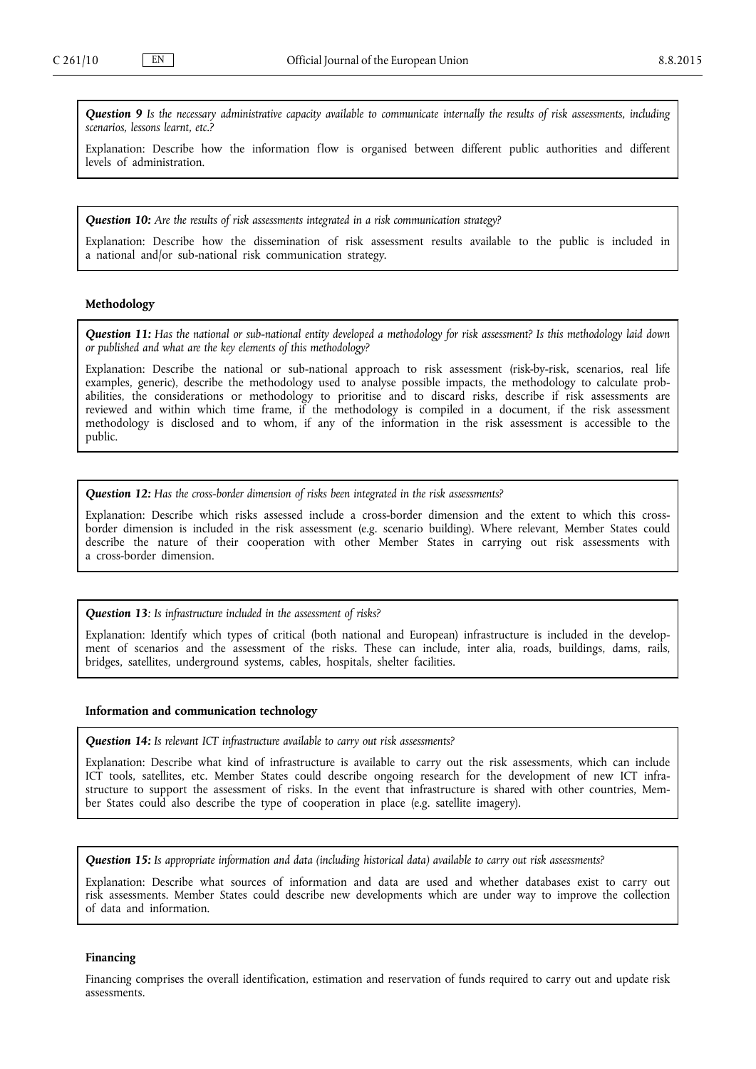*Question 9 Is the necessary administrative capacity available to communicate internally the results of risk assessments, including scenarios, lessons learnt, etc.?*

Explanation: Describe how the information flow is organised between different public authorities and different levels of administration.

*Question 10: Are the results of risk assessments integrated in a risk communication strategy?*

Explanation: Describe how the dissemination of risk assessment results available to the public is included in a national and/or sub-national risk communication strategy.

# **Methodology**

*Question 11: Has the national or sub-national entity developed a methodology for risk assessment? Is this methodology laid down or published and what are the key elements of this methodology?*

Explanation: Describe the national or sub-national approach to risk assessment (risk-by-risk, scenarios, real life examples, generic), describe the methodology used to analyse possible impacts, the methodology to calculate probabilities, the considerations or methodology to prioritise and to discard risks, describe if risk assessments are reviewed and within which time frame, if the methodology is compiled in a document, if the risk assessment methodology is disclosed and to whom, if any of the information in the risk assessment is accessible to the public.

*Question 12: Has the cross-border dimension of risks been integrated in the risk assessments?*

Explanation: Describe which risks assessed include a cross-border dimension and the extent to which this crossborder dimension is included in the risk assessment (e.g. scenario building). Where relevant, Member States could describe the nature of their cooperation with other Member States in carrying out risk assessments with a cross-border dimension.

## *Question 13: Is infrastructure included in the assessment of risks?*

Explanation: Identify which types of critical (both national and European) infrastructure is included in the development of scenarios and the assessment of the risks. These can include, inter alia, roads, buildings, dams, rails, bridges, satellites, underground systems, cables, hospitals, shelter facilities.

#### **Information and communication technology**

*Question 14: Is relevant ICT infrastructure available to carry out risk assessments?*

Explanation: Describe what kind of infrastructure is available to carry out the risk assessments, which can include ICT tools, satellites, etc. Member States could describe ongoing research for the development of new ICT infrastructure to support the assessment of risks. In the event that infrastructure is shared with other countries, Member States could also describe the type of cooperation in place (e.g. satellite imagery).

*Question 15: Is appropriate information and data (including historical data) available to carry out risk assessments?*

Explanation: Describe what sources of information and data are used and whether databases exist to carry out risk assessments. Member States could describe new developments which are under way to improve the collection of data and information.

#### **Financing**

Financing comprises the overall identification, estimation and reservation of funds required to carry out and update risk assessments.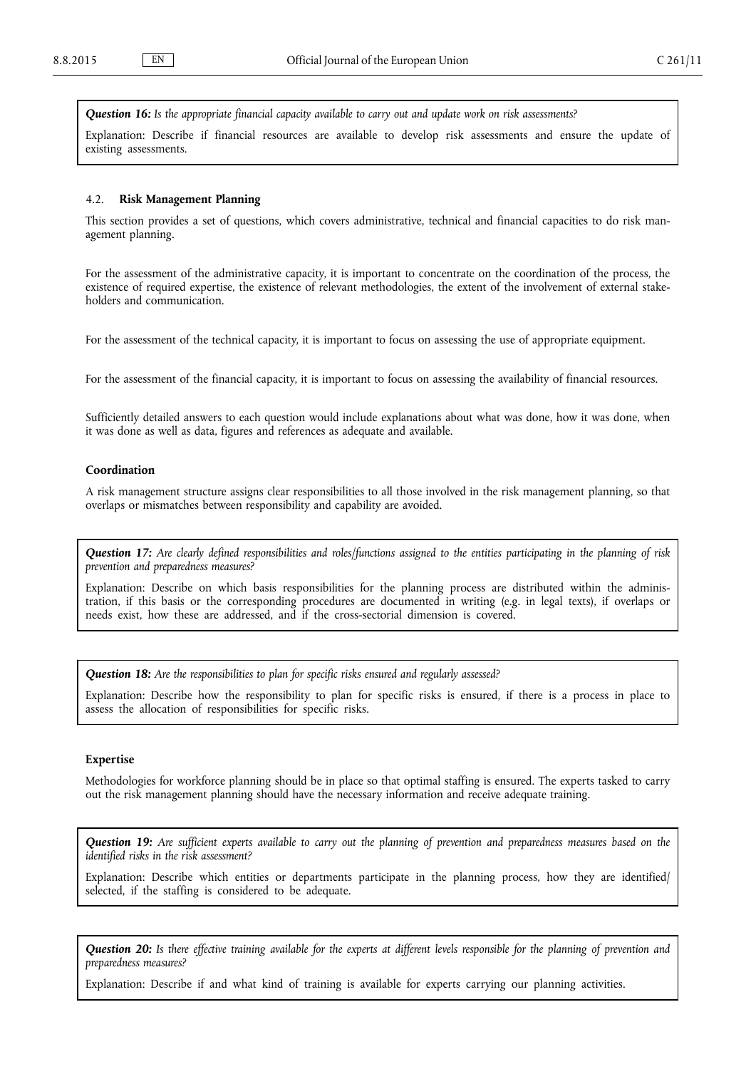<span id="page-6-0"></span>*Question 16: Is the appropriate financial capacity available to carry out and update work on risk assessments?*

Explanation: Describe if financial resources are available to develop risk assessments and ensure the update of existing assessments.

### 4.2. **Risk Management Planning**

This section provides a set of questions, which covers administrative, technical and financial capacities to do risk management planning.

For the assessment of the administrative capacity, it is important to concentrate on the coordination of the process, the existence of required expertise, the existence of relevant methodologies, the extent of the involvement of external stakeholders and communication.

For the assessment of the technical capacity, it is important to focus on assessing the use of appropriate equipment.

For the assessment of the financial capacity, it is important to focus on assessing the availability of financial resources.

Sufficiently detailed answers to each question would include explanations about what was done, how it was done, when it was done as well as data, figures and references as adequate and available.

#### **Coordination**

A risk management structure assigns clear responsibilities to all those involved in the risk management planning, so that overlaps or mismatches between responsibility and capability are avoided.

*Question 17: Are clearly defined responsibilities and roles/functions assigned to the entities participating in the planning of risk prevention and preparedness measures?*

Explanation: Describe on which basis responsibilities for the planning process are distributed within the administration, if this basis or the corresponding procedures are documented in writing (e.g. in legal texts), if overlaps or needs exist, how these are addressed, and if the cross-sectorial dimension is covered.

*Question 18: Are the responsibilities to plan for specific risks ensured and regularly assessed?*

Explanation: Describe how the responsibility to plan for specific risks is ensured, if there is a process in place to assess the allocation of responsibilities for specific risks.

# **Expertise**

Methodologies for workforce planning should be in place so that optimal staffing is ensured. The experts tasked to carry out the risk management planning should have the necessary information and receive adequate training.

*Question 19: Are sufficient experts available to carry out the planning of prevention and preparedness measures based on the identified risks in the risk assessment?*

Explanation: Describe which entities or departments participate in the planning process, how they are identified/ selected, if the staffing is considered to be adequate.

*Question 20: Is there effective training available for the experts at different levels responsible for the planning of prevention and preparedness measures?*

Explanation: Describe if and what kind of training is available for experts carrying our planning activities.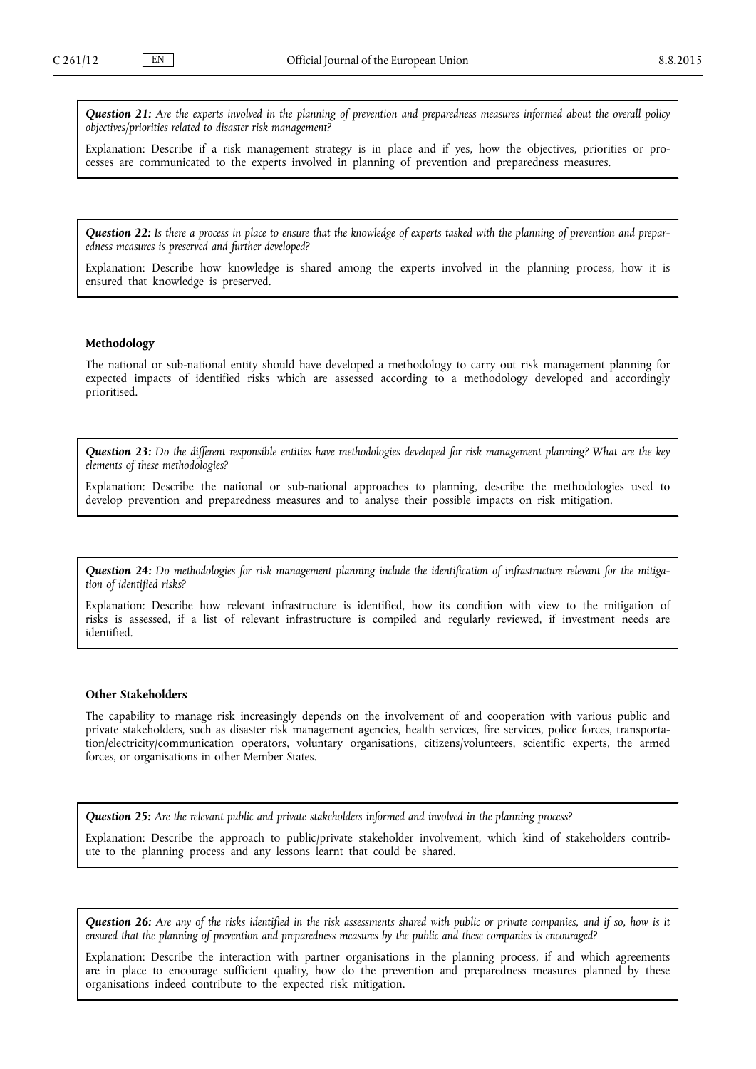*Question 21: Are the experts involved in the planning of prevention and preparedness measures informed about the overall policy objectives/priorities related to disaster risk management?*

Explanation: Describe if a risk management strategy is in place and if yes, how the objectives, priorities or processes are communicated to the experts involved in planning of prevention and preparedness measures.

*Question 22: Is there a process in place to ensure that the knowledge of experts tasked with the planning of prevention and preparedness measures is preserved and further developed?*

Explanation: Describe how knowledge is shared among the experts involved in the planning process, how it is ensured that knowledge is preserved.

# **Methodology**

The national or sub-national entity should have developed a methodology to carry out risk management planning for expected impacts of identified risks which are assessed according to a methodology developed and accordingly prioritised.

*Question 23: Do the different responsible entities have methodologies developed for risk management planning? What are the key elements of these methodologies?*

Explanation: Describe the national or sub-national approaches to planning, describe the methodologies used to develop prevention and preparedness measures and to analyse their possible impacts on risk mitigation.

*Question 24: Do methodologies for risk management planning include the identification of infrastructure relevant for the mitigation of identified risks?*

Explanation: Describe how relevant infrastructure is identified, how its condition with view to the mitigation of risks is assessed, if a list of relevant infrastructure is compiled and regularly reviewed, if investment needs are identified.

#### **Other Stakeholders**

The capability to manage risk increasingly depends on the involvement of and cooperation with various public and private stakeholders, such as disaster risk management agencies, health services, fire services, police forces, transportation/electricity/communication operators, voluntary organisations, citizens/volunteers, scientific experts, the armed forces, or organisations in other Member States.

*Question 25: Are the relevant public and private stakeholders informed and involved in the planning process?*

Explanation: Describe the approach to public/private stakeholder involvement, which kind of stakeholders contribute to the planning process and any lessons learnt that could be shared.

*Question 26: Are any of the risks identified in the risk assessments shared with public or private companies, and if so, how is it ensured that the planning of prevention and preparedness measures by the public and these companies is encouraged?*

Explanation: Describe the interaction with partner organisations in the planning process, if and which agreements are in place to encourage sufficient quality, how do the prevention and preparedness measures planned by these organisations indeed contribute to the expected risk mitigation.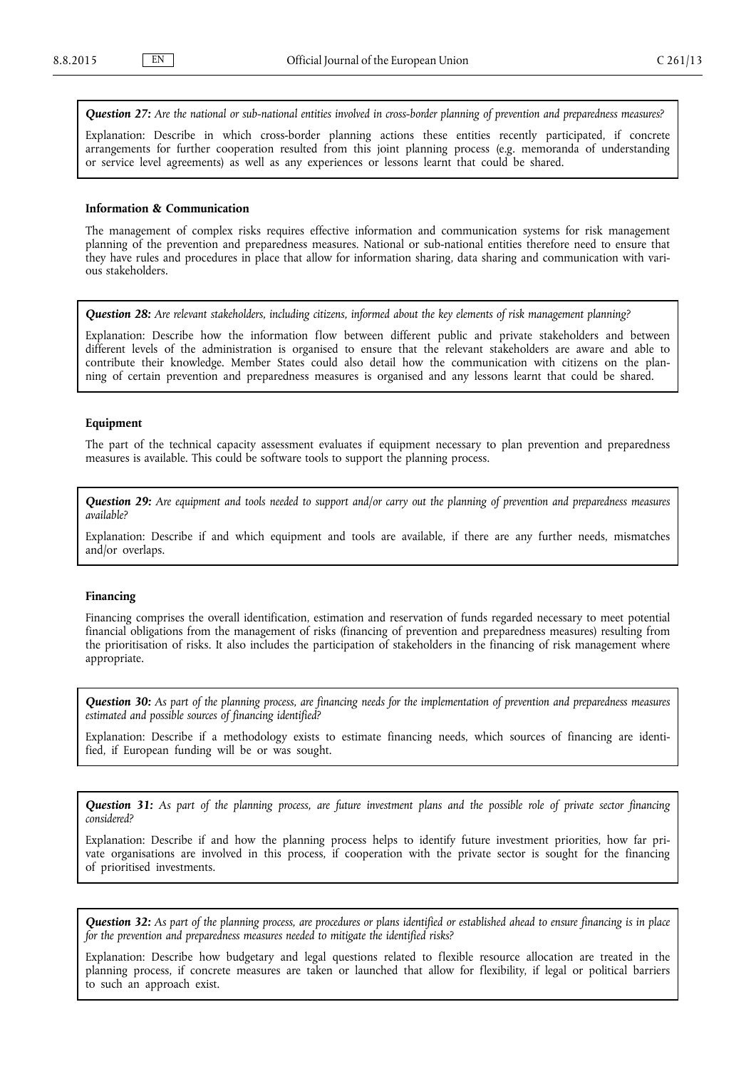*Question 27: Are the national or sub-national entities involved in cross-border planning of prevention and preparedness measures?*

Explanation: Describe in which cross-border planning actions these entities recently participated, if concrete arrangements for further cooperation resulted from this joint planning process (e.g. memoranda of understanding or service level agreements) as well as any experiences or lessons learnt that could be shared.

#### **Information & Communication**

The management of complex risks requires effective information and communication systems for risk management planning of the prevention and preparedness measures. National or sub-national entities therefore need to ensure that they have rules and procedures in place that allow for information sharing, data sharing and communication with various stakeholders.

*Question 28: Are relevant stakeholders, including citizens, informed about the key elements of risk management planning?*

Explanation: Describe how the information flow between different public and private stakeholders and between different levels of the administration is organised to ensure that the relevant stakeholders are aware and able to contribute their knowledge. Member States could also detail how the communication with citizens on the planning of certain prevention and preparedness measures is organised and any lessons learnt that could be shared.

## **Equipment**

The part of the technical capacity assessment evaluates if equipment necessary to plan prevention and preparedness measures is available. This could be software tools to support the planning process.

*Question 29: Are equipment and tools needed to support and/or carry out the planning of prevention and preparedness measures available?*

Explanation: Describe if and which equipment and tools are available, if there are any further needs, mismatches and/or overlaps.

# **Financing**

Financing comprises the overall identification, estimation and reservation of funds regarded necessary to meet potential financial obligations from the management of risks (financing of prevention and preparedness measures) resulting from the prioritisation of risks. It also includes the participation of stakeholders in the financing of risk management where appropriate.

*Question 30: As part of the planning process, are financing needs for the implementation of prevention and preparedness measures estimated and possible sources of financing identified?*

Explanation: Describe if a methodology exists to estimate financing needs, which sources of financing are identified, if European funding will be or was sought.

*Question 31: As part of the planning process, are future investment plans and the possible role of private sector financing considered?*

Explanation: Describe if and how the planning process helps to identify future investment priorities, how far private organisations are involved in this process, if cooperation with the private sector is sought for the financing of prioritised investments.

*Question 32: As part of the planning process, are procedures or plans identified or established ahead to ensure financing is in place for the prevention and preparedness measures needed to mitigate the identified risks?*

Explanation: Describe how budgetary and legal questions related to flexible resource allocation are treated in the planning process, if concrete measures are taken or launched that allow for flexibility, if legal or political barriers to such an approach exist.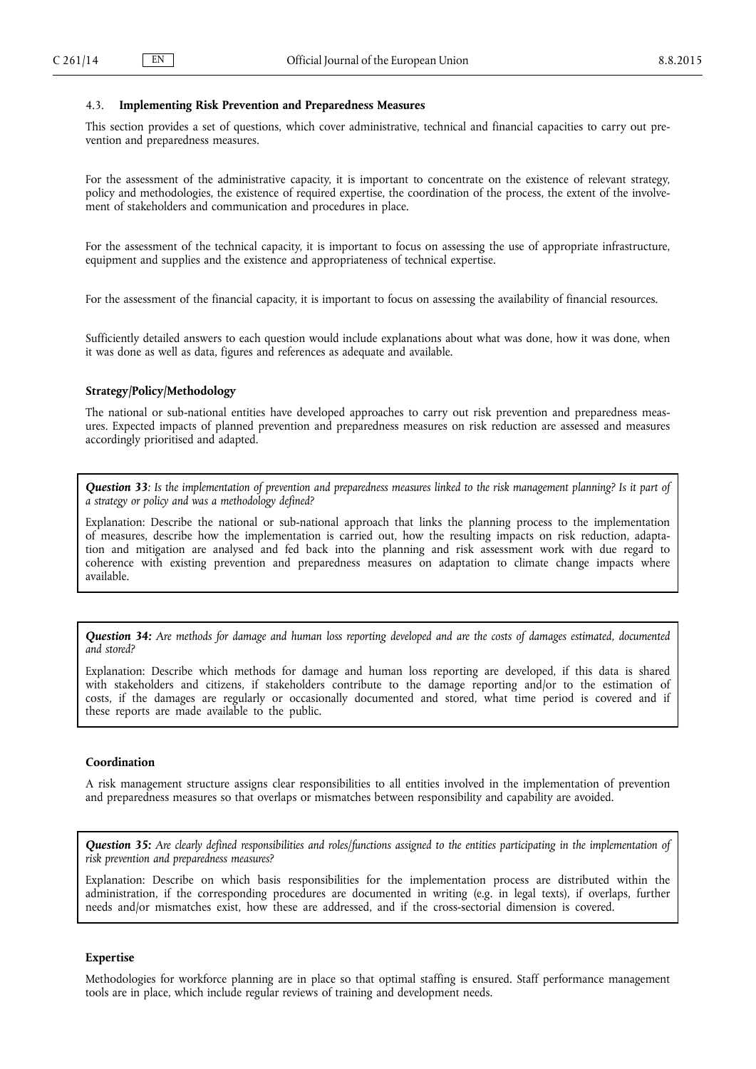## <span id="page-9-0"></span>4.3. **Implementing Risk Prevention and Preparedness Measures**

This section provides a set of questions, which cover administrative, technical and financial capacities to carry out prevention and preparedness measures.

For the assessment of the administrative capacity, it is important to concentrate on the existence of relevant strategy, policy and methodologies, the existence of required expertise, the coordination of the process, the extent of the involvement of stakeholders and communication and procedures in place.

For the assessment of the technical capacity, it is important to focus on assessing the use of appropriate infrastructure, equipment and supplies and the existence and appropriateness of technical expertise.

For the assessment of the financial capacity, it is important to focus on assessing the availability of financial resources.

Sufficiently detailed answers to each question would include explanations about what was done, how it was done, when it was done as well as data, figures and references as adequate and available.

## **Strategy/Policy/Methodology**

The national or sub-national entities have developed approaches to carry out risk prevention and preparedness measures. Expected impacts of planned prevention and preparedness measures on risk reduction are assessed and measures accordingly prioritised and adapted.

*Question 33: Is the implementation of prevention and preparedness measures linked to the risk management planning? Is it part of a strategy or policy and was a methodology defined?*

Explanation: Describe the national or sub-national approach that links the planning process to the implementation of measures, describe how the implementation is carried out, how the resulting impacts on risk reduction, adaptation and mitigation are analysed and fed back into the planning and risk assessment work with due regard to coherence with existing prevention and preparedness measures on adaptation to climate change impacts where available.

*Question 34: Are methods for damage and human loss reporting developed and are the costs of damages estimated, documented and stored?*

Explanation: Describe which methods for damage and human loss reporting are developed, if this data is shared with stakeholders and citizens, if stakeholders contribute to the damage reporting and/or to the estimation of costs, if the damages are regularly or occasionally documented and stored, what time period is covered and if these reports are made available to the public.

## **Coordination**

A risk management structure assigns clear responsibilities to all entities involved in the implementation of prevention and preparedness measures so that overlaps or mismatches between responsibility and capability are avoided.

*Question 35: Are clearly defined responsibilities and roles/functions assigned to the entities participating in the implementation of risk prevention and preparedness measures?*

Explanation: Describe on which basis responsibilities for the implementation process are distributed within the administration, if the corresponding procedures are documented in writing (e.g. in legal texts), if overlaps, further needs and/or mismatches exist, how these are addressed, and if the cross-sectorial dimension is covered.

# **Expertise**

Methodologies for workforce planning are in place so that optimal staffing is ensured. Staff performance management tools are in place, which include regular reviews of training and development needs.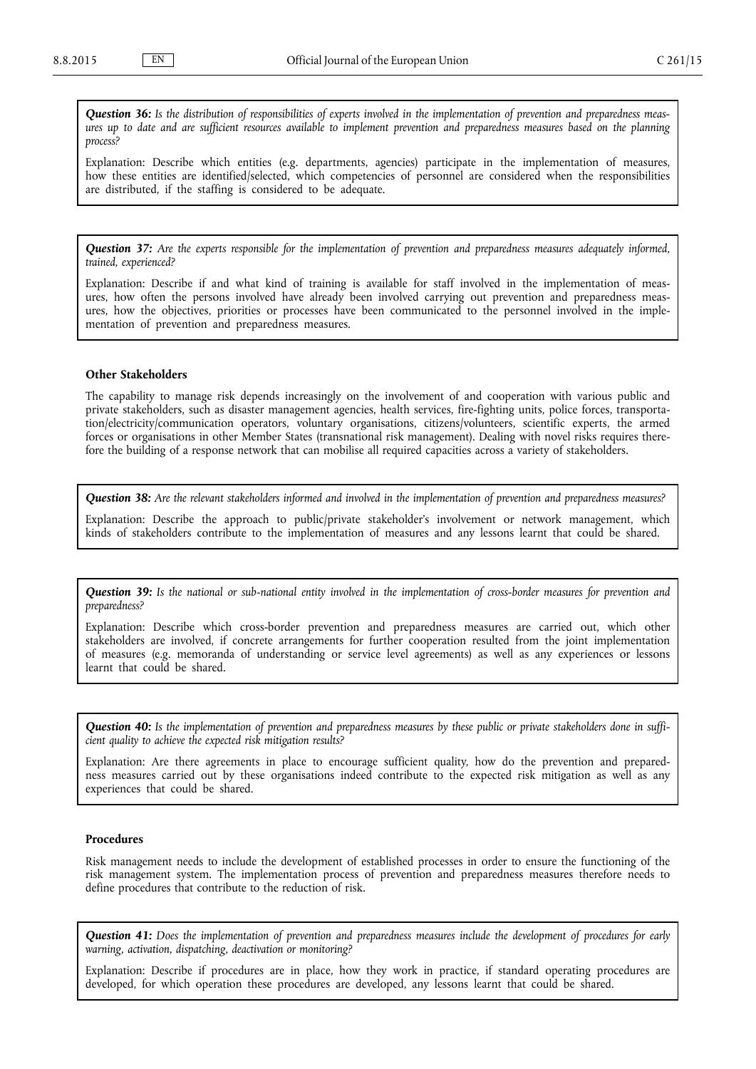*Question 36: Is the distribution of responsibilities of experts involved in the implementation of prevention and preparedness measures up to date and are sufficient resources available to implement prevention and preparedness measures based on the planning process?*

Explanation: Describe which entities (e.g. departments, agencies) participate in the implementation of measures, how these entities are identified/selected, which competencies of personnel are considered when the responsibilities are distributed, if the staffing is considered to be adequate.

*Question 37: Are the experts responsible for the implementation of prevention and preparedness measures adequately informed, trained, experienced?*

Explanation: Describe if and what kind of training is available for staff involved in the implementation of measures, how often the persons involved have already been involved carrying out prevention and preparedness measures, how the objectives, priorities or processes have been communicated to the personnel involved in the implementation of prevention and preparedness measures.

## **Other Stakeholders**

The capability to manage risk depends increasingly on the involvement of and cooperation with various public and private stakeholders, such as disaster management agencies, health services, fire-fighting units, police forces, transportation/electricity/communication operators, voluntary organisations, citizens/volunteers, scientific experts, the armed forces or organisations in other Member States (transnational risk management). Dealing with novel risks requires therefore the building of a response network that can mobilise all required capacities across a variety of stakeholders.

*Question 38: Are the relevant stakeholders informed and involved in the implementation of prevention and preparedness measures?*

Explanation: Describe the approach to public/private stakeholder's involvement or network management, which kinds of stakeholders contribute to the implementation of measures and any lessons learnt that could be shared.

*Question 39: Is the national or sub-national entity involved in the implementation of cross-border measures for prevention and preparedness?*

Explanation: Describe which cross-border prevention and preparedness measures are carried out, which other stakeholders are involved, if concrete arrangements for further cooperation resulted from the joint implementation of measures (e.g. memoranda of understanding or service level agreements) as well as any experiences or lessons learnt that could be shared.

*Question 40: Is the implementation of prevention and preparedness measures by these public or private stakeholders done in sufficient quality to achieve the expected risk mitigation results?*

Explanation: Are there agreements in place to encourage sufficient quality, how do the prevention and preparedness measures carried out by these organisations indeed contribute to the expected risk mitigation as well as any experiences that could be shared.

# **Procedures**

Risk management needs to include the development of established processes in order to ensure the functioning of the risk management system. The implementation process of prevention and preparedness measures therefore needs to define procedures that contribute to the reduction of risk.

*Question 41: Does the implementation of prevention and preparedness measures include the development of procedures for early warning, activation, dispatching, deactivation or monitoring?*

Explanation: Describe if procedures are in place, how they work in practice, if standard operating procedures are developed, for which operation these procedures are developed, any lessons learnt that could be shared.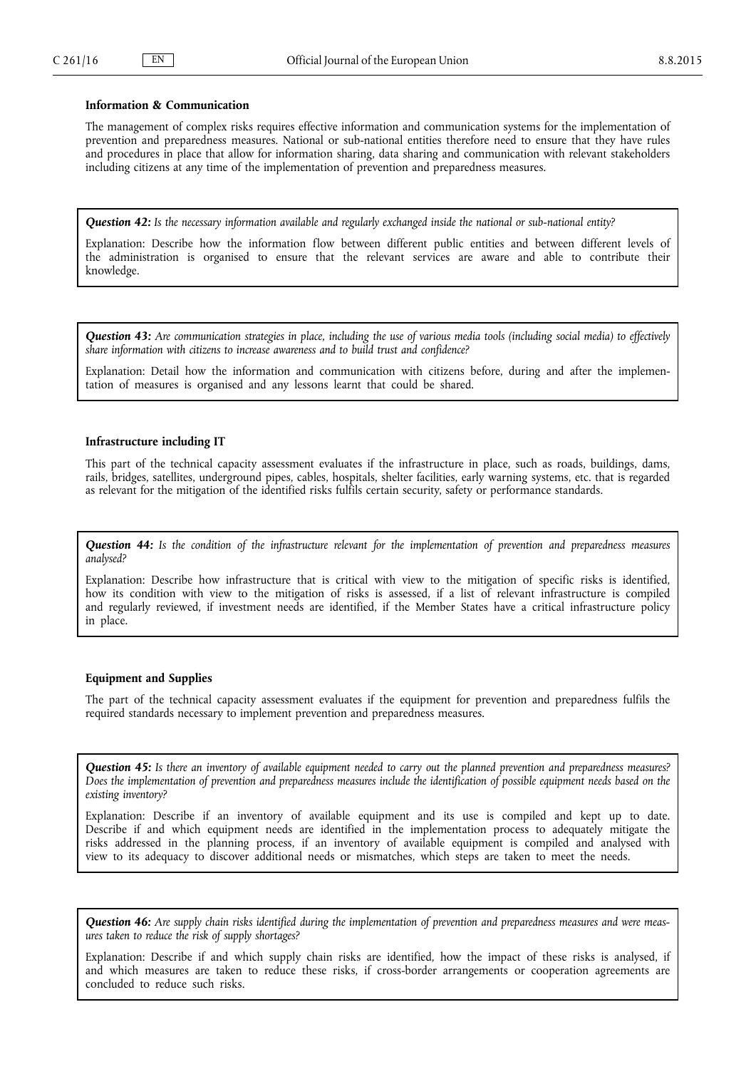# **Information & Communication**

The management of complex risks requires effective information and communication systems for the implementation of prevention and preparedness measures. National or sub-national entities therefore need to ensure that they have rules and procedures in place that allow for information sharing, data sharing and communication with relevant stakeholders including citizens at any time of the implementation of prevention and preparedness measures.

*Question 42: Is the necessary information available and regularly exchanged inside the national or sub-national entity?*

Explanation: Describe how the information flow between different public entities and between different levels of the administration is organised to ensure that the relevant services are aware and able to contribute their knowledge.

*Question 43: Are communication strategies in place, including the use of various media tools (including social media) to effectively share information with citizens to increase awareness and to build trust and confidence?*

Explanation: Detail how the information and communication with citizens before, during and after the implementation of measures is organised and any lessons learnt that could be shared.

### **Infrastructure including IT**

This part of the technical capacity assessment evaluates if the infrastructure in place, such as roads, buildings, dams, rails, bridges, satellites, underground pipes, cables, hospitals, shelter facilities, early warning systems, etc. that is regarded as relevant for the mitigation of the identified risks fulfils certain security, safety or performance standards.

*Question 44: Is the condition of the infrastructure relevant for the implementation of prevention and preparedness measures analysed?*

Explanation: Describe how infrastructure that is critical with view to the mitigation of specific risks is identified, how its condition with view to the mitigation of risks is assessed, if a list of relevant infrastructure is compiled and regularly reviewed, if investment needs are identified, if the Member States have a critical infrastructure policy in place.

# **Equipment and Supplies**

The part of the technical capacity assessment evaluates if the equipment for prevention and preparedness fulfils the required standards necessary to implement prevention and preparedness measures.

*Question 45: Is there an inventory of available equipment needed to carry out the planned prevention and preparedness measures? Does the implementation of prevention and preparedness measures include the identification of possible equipment needs based on the existing inventory?*

Explanation: Describe if an inventory of available equipment and its use is compiled and kept up to date. Describe if and which equipment needs are identified in the implementation process to adequately mitigate the risks addressed in the planning process, if an inventory of available equipment is compiled and analysed with view to its adequacy to discover additional needs or mismatches, which steps are taken to meet the needs.

*Question 46: Are supply chain risks identified during the implementation of prevention and preparedness measures and were measures taken to reduce the risk of supply shortages?*

Explanation: Describe if and which supply chain risks are identified, how the impact of these risks is analysed, if and which measures are taken to reduce these risks, if cross-border arrangements or cooperation agreements are concluded to reduce such risks.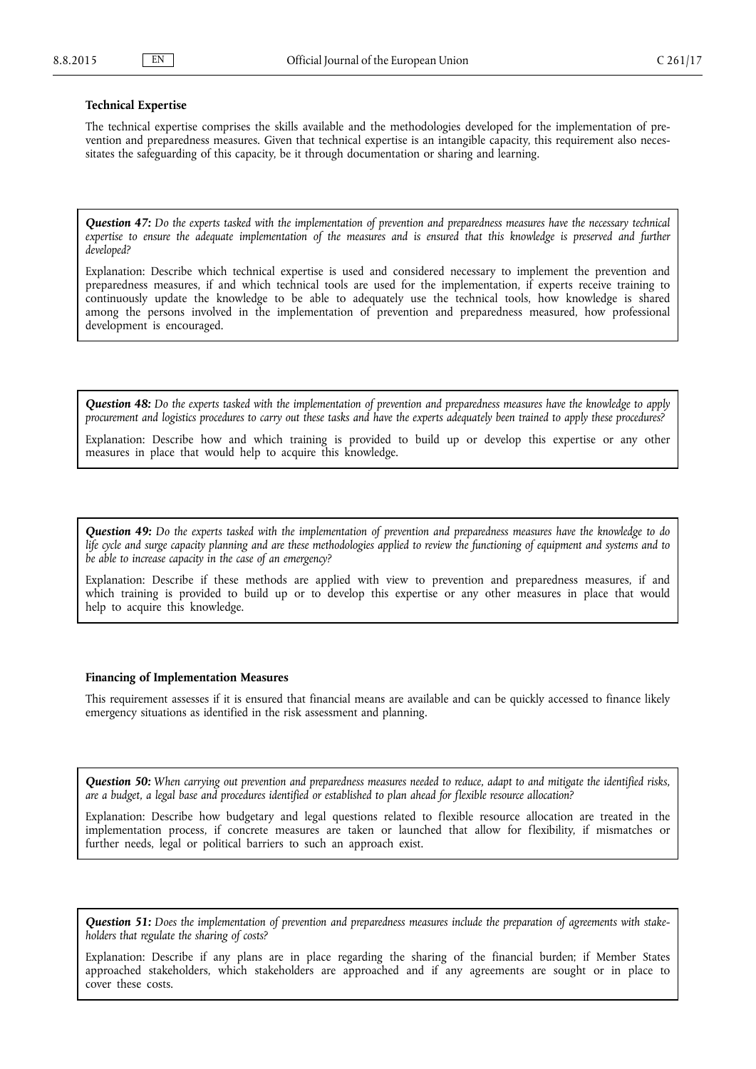### **Technical Expertise**

The technical expertise comprises the skills available and the methodologies developed for the implementation of prevention and preparedness measures. Given that technical expertise is an intangible capacity, this requirement also necessitates the safeguarding of this capacity, be it through documentation or sharing and learning.

*Question 47: Do the experts tasked with the implementation of prevention and preparedness measures have the necessary technical*  expertise to ensure the adequate implementation of the measures and is ensured that this knowledge is preserved and further *developed?*

Explanation: Describe which technical expertise is used and considered necessary to implement the prevention and preparedness measures, if and which technical tools are used for the implementation, if experts receive training to continuously update the knowledge to be able to adequately use the technical tools, how knowledge is shared among the persons involved in the implementation of prevention and preparedness measured, how professional development is encouraged.

*Question 48: Do the experts tasked with the implementation of prevention and preparedness measures have the knowledge to apply procurement and logistics procedures to carry out these tasks and have the experts adequately been trained to apply these procedures?*

Explanation: Describe how and which training is provided to build up or develop this expertise or any other measures in place that would help to acquire this knowledge.

*Question 49: Do the experts tasked with the implementation of prevention and preparedness measures have the knowledge to do life cycle and surge capacity planning and are these methodologies applied to review the functioning of equipment and systems and to be able to increase capacity in the case of an emergency?*

Explanation: Describe if these methods are applied with view to prevention and preparedness measures, if and which training is provided to build up or to develop this expertise or any other measures in place that would help to acquire this knowledge.

### **Financing of Implementation Measures**

This requirement assesses if it is ensured that financial means are available and can be quickly accessed to finance likely emergency situations as identified in the risk assessment and planning.

*Question 50: When carrying out prevention and preparedness measures needed to reduce, adapt to and mitigate the identified risks, are a budget, a legal base and procedures identified or established to plan ahead for flexible resource allocation?*

Explanation: Describe how budgetary and legal questions related to flexible resource allocation are treated in the implementation process, if concrete measures are taken or launched that allow for flexibility, if mismatches or further needs, legal or political barriers to such an approach exist.

*Question 51: Does the implementation of prevention and preparedness measures include the preparation of agreements with stakeholders that regulate the sharing of costs?*

Explanation: Describe if any plans are in place regarding the sharing of the financial burden; if Member States approached stakeholders, which stakeholders are approached and if any agreements are sought or in place to cover these costs.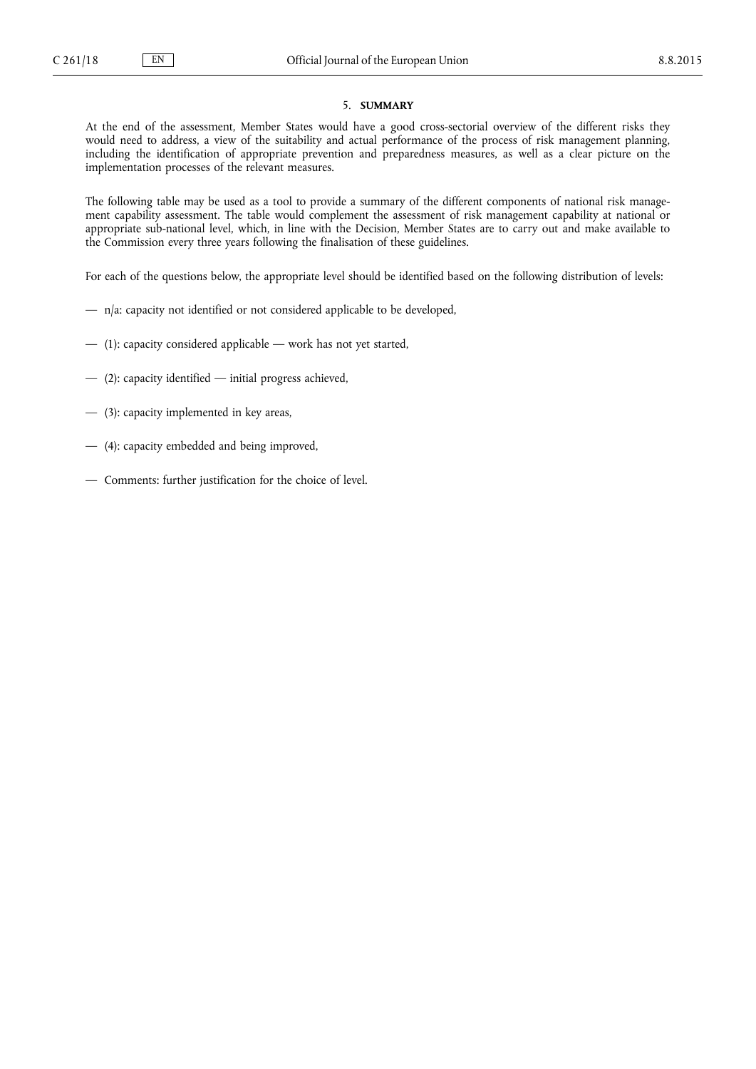# 5. **SUMMARY**

<span id="page-13-0"></span>At the end of the assessment, Member States would have a good cross-sectorial overview of the different risks they would need to address, a view of the suitability and actual performance of the process of risk management planning, including the identification of appropriate prevention and preparedness measures, as well as a clear picture on the implementation processes of the relevant measures.

The following table may be used as a tool to provide a summary of the different components of national risk management capability assessment. The table would complement the assessment of risk management capability at national or appropriate sub-national level, which, in line with the Decision, Member States are to carry out and make available to the Commission every three years following the finalisation of these guidelines.

For each of the questions below, the appropriate level should be identified based on the following distribution of levels:

- n/a: capacity not identified or not considered applicable to be developed,
- (1): capacity considered applicable work has not yet started,
- (2): capacity identified initial progress achieved,
- (3): capacity implemented in key areas,
- (4): capacity embedded and being improved,
- Comments: further justification for the choice of level.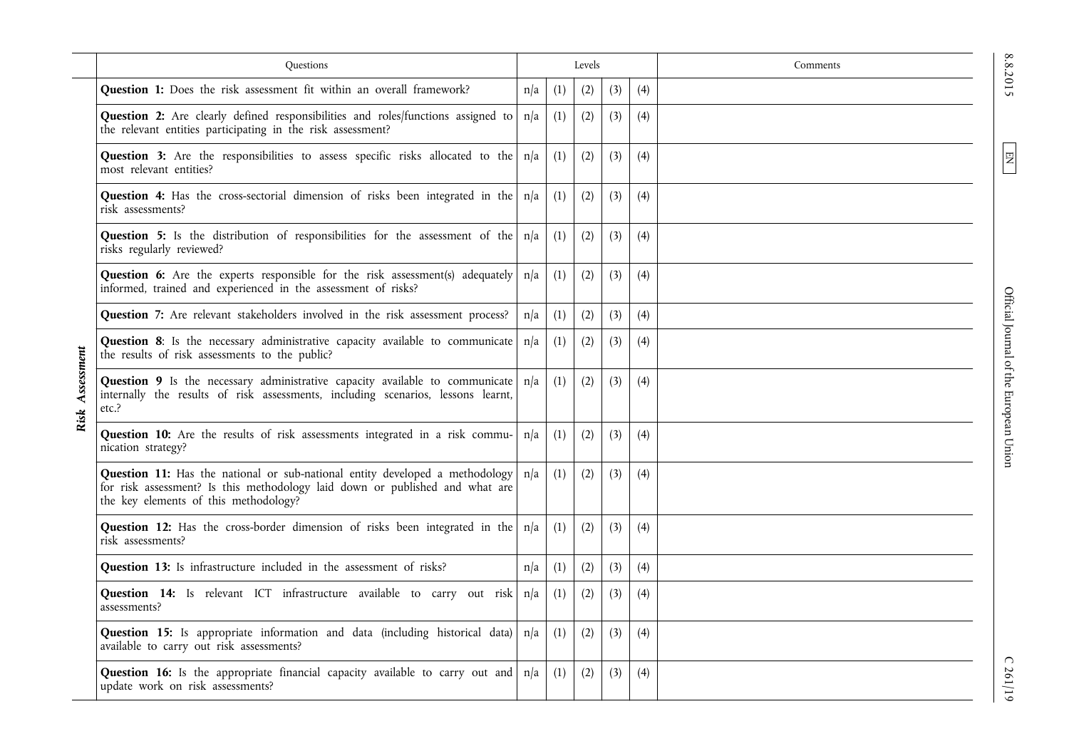|                    | Ouestions                                                                                                                                                                                             | Levels |     |     |     | Comments |  |
|--------------------|-------------------------------------------------------------------------------------------------------------------------------------------------------------------------------------------------------|--------|-----|-----|-----|----------|--|
|                    | Question 1: Does the risk assessment fit within an overall framework?                                                                                                                                 | n/a    | (1) | (2) | (3) | (4)      |  |
|                    | Question 2: Are clearly defined responsibilities and roles/functions assigned to<br>the relevant entities participating in the risk assessment?                                                       | n/a    | (1) | (2) | (3) | (4)      |  |
|                    | Question 3: Are the responsibilities to assess specific risks allocated to the<br>most relevant entities?                                                                                             | n/a    | (1) | (2) | (3) | (4)      |  |
|                    | <b>Question 4:</b> Has the cross-sectorial dimension of risks been integrated in the<br>risk assessments?                                                                                             | n/a    | (1) | (2) | (3) | (4)      |  |
|                    | Question 5: Is the distribution of responsibilities for the assessment of the<br>risks regularly reviewed?                                                                                            | n/a    | (1) | (2) | (3) | (4)      |  |
|                    | Question 6: Are the experts responsible for the risk assessment(s) adequately<br>informed, trained and experienced in the assessment of risks?                                                        | n/a    | (1) | (2) | (3) | (4)      |  |
|                    | Question 7: Are relevant stakeholders involved in the risk assessment process?                                                                                                                        | n/a    | (1) | (2) | (3) | (4)      |  |
|                    | Question 8: Is the necessary administrative capacity available to communicate<br>the results of risk assessments to the public?                                                                       | n/a    | (1) | (2) | (3) | (4)      |  |
| Assessment<br>Risk | Question 9 Is the necessary administrative capacity available to communicate<br>internally the results of risk assessments, including scenarios, lessons learnt,<br>etc.?                             | n/a    | (1) | (2) | (3) | (4)      |  |
|                    | Question 10: Are the results of risk assessments integrated in a risk commu-<br>nication strategy?                                                                                                    | n/a    | (1) | (2) | (3) | (4)      |  |
|                    | Question 11: Has the national or sub-national entity developed a methodology<br>for risk assessment? Is this methodology laid down or published and what are<br>the key elements of this methodology? | n/a    | (1) | (2) | (3) | (4)      |  |
|                    | <b>Question 12:</b> Has the cross-border dimension of risks been integrated in the $n/a$<br>risk assessments?                                                                                         |        | (1) | (2) | (3) | (4)      |  |
|                    | Question 13: Is infrastructure included in the assessment of risks?                                                                                                                                   | n/a    | (1) | (2) | (3) | (4)      |  |
|                    | Question 14: Is relevant ICT infrastructure available to carry out risk<br>assessments?                                                                                                               | n/a    | (1) | (2) | (3) | (4)      |  |
|                    | Question 15: Is appropriate information and data (including historical data)<br>available to carry out risk assessments?                                                                              | n/a    | (1) | (2) | (3) | (4)      |  |
|                    | Question 16: Is the appropriate financial capacity available to carry out and<br>update work on risk assessments?                                                                                     | n/a    | (1) | (2) | (3) | (4)      |  |

8.8.2015

EN

Official Journal of the European Union Official Journal of the European Union

C 261/19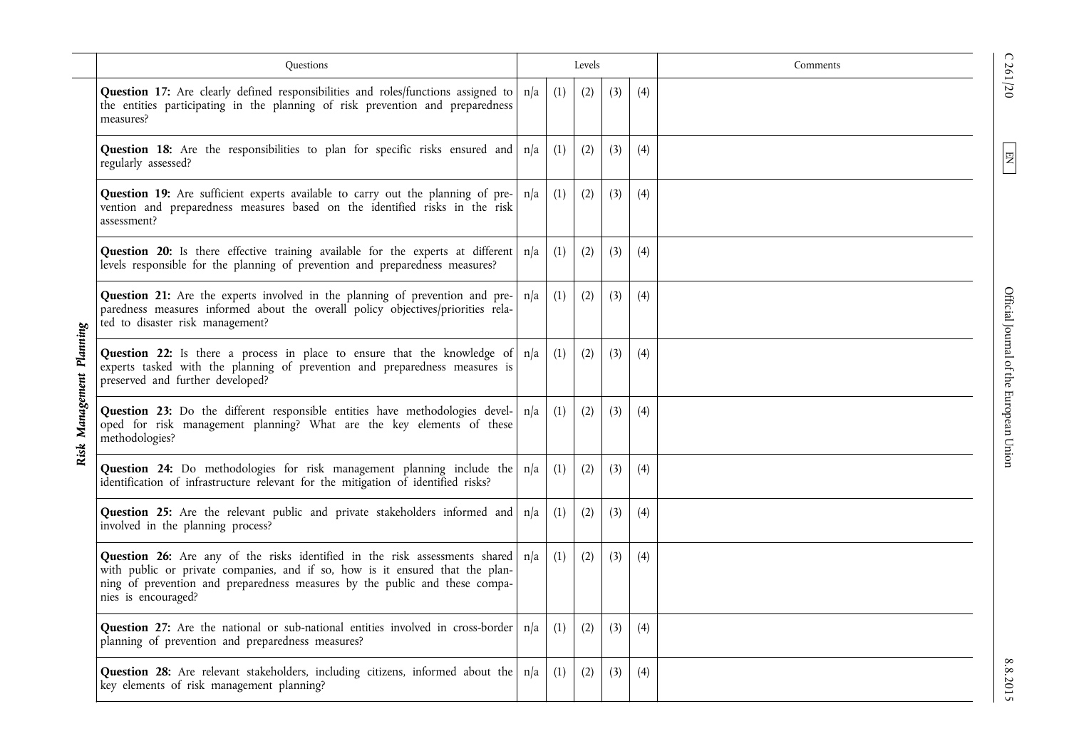|                     | <b>Ouestions</b>                                                                                                                                                                                                                                                                |     |     | Levels |     |     | Comments |
|---------------------|---------------------------------------------------------------------------------------------------------------------------------------------------------------------------------------------------------------------------------------------------------------------------------|-----|-----|--------|-----|-----|----------|
|                     | Question 17: Are clearly defined responsibilities and roles/functions assigned to<br>the entities participating in the planning of risk prevention and preparedness<br>measures?                                                                                                | n/a | (1) | (2)    | (3) | (4) |          |
|                     | <b>Question 18:</b> Are the responsibilities to plan for specific risks ensured and $n/a$<br>regularly assessed?                                                                                                                                                                |     | (1) | (2)    | (3) | (4) |          |
|                     | Question 19: Are sufficient experts available to carry out the planning of pre-<br>vention and preparedness measures based on the identified risks in the risk<br>assessment?                                                                                                   | n/a | (1) | (2)    | (3) | (4) |          |
|                     | Question 20: Is there effective training available for the experts at different<br>levels responsible for the planning of prevention and preparedness measures?                                                                                                                 | n/a | (1) | (2)    | (3) | (4) |          |
| Management Planning | Question 21: Are the experts involved in the planning of prevention and pre-<br>paredness measures informed about the overall policy objectives/priorities rela-<br>ted to disaster risk management?                                                                            | n/a | (1) | (2)    | (3) | (4) |          |
|                     | Question 22: Is there a process in place to ensure that the knowledge of<br>experts tasked with the planning of prevention and preparedness measures is<br>preserved and further developed?                                                                                     | n/a | (1) | (2)    | (3) | (4) |          |
|                     | Question 23: Do the different responsible entities have methodologies devel-<br>oped for risk management planning? What are the key elements of these<br>methodologies?                                                                                                         | n/a | (1) | (2)    | (3) | (4) |          |
|                     | <b>Question 24:</b> Do methodologies for risk management planning include the $n/a$<br>identification of infrastructure relevant for the mitigation of identified risks?                                                                                                        |     | (1) | (2)    | (3) | (4) |          |
|                     | <b>Question 25:</b> Are the relevant public and private stakeholders informed and $n/a$<br>involved in the planning process?                                                                                                                                                    |     | (1) | (2)    | (3) | (4) |          |
|                     | <b>Question 26:</b> Are any of the risks identified in the risk assessments shared $n/a$<br>with public or private companies, and if so, how is it ensured that the plan-<br>ning of prevention and preparedness measures by the public and these compa-<br>nies is encouraged? |     | (1) | (2)    | (3) | (4) |          |
|                     | <b>Question 27:</b> Are the national or sub-national entities involved in cross-border $ n/a $<br>planning of prevention and preparedness measures?                                                                                                                             |     | (1) | (2)    | (3) | (4) |          |
|                     | <b>Question 28:</b> Are relevant stakeholders, including citizens, informed about the $ n/a $<br>key elements of risk management planning?                                                                                                                                      |     | (1) | (2)    | (3) | (4) |          |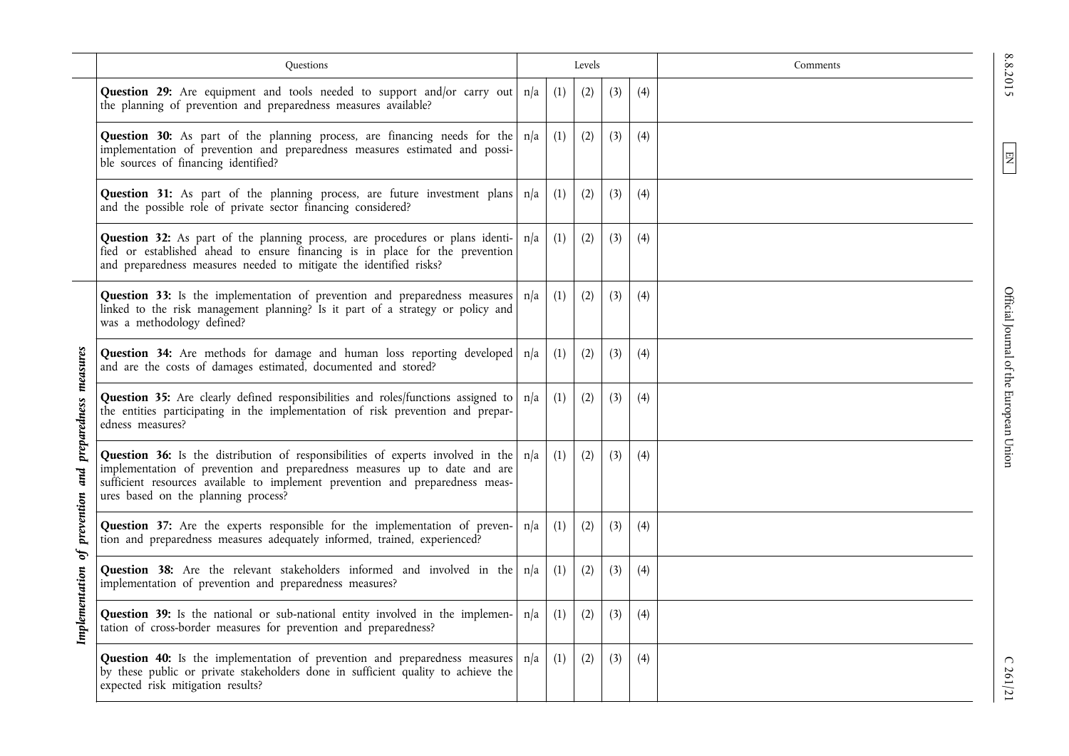|                       | <b>Questions</b>                                                                                                                                                                                                                                                                     | Levels |     |     | Comments |     |  |
|-----------------------|--------------------------------------------------------------------------------------------------------------------------------------------------------------------------------------------------------------------------------------------------------------------------------------|--------|-----|-----|----------|-----|--|
|                       | <b>Question 29:</b> Are equipment and tools needed to support and/or carry out $n/a$<br>the planning of prevention and preparedness measures available?                                                                                                                              |        | (1) | (2) | (3)      | (4) |  |
|                       | <b>Question 30:</b> As part of the planning process, are financing needs for the $n/a$<br>implementation of prevention and preparedness measures estimated and possi-<br>ble sources of financing identified?                                                                        |        | (1) | (2) | (3)      | (4) |  |
|                       | <b>Question 31:</b> As part of the planning process, are future investment plans $n/a$<br>and the possible role of private sector financing considered?                                                                                                                              |        | (1) | (2) | (3)      | (4) |  |
|                       | Question 32: As part of the planning process, are procedures or plans identi-<br>fied or established ahead to ensure financing is in place for the prevention<br>and preparedness measures needed to mitigate the identified risks?                                                  | n/a    | (1) | (2) | (3)      | (4) |  |
|                       | Question 33: Is the implementation of prevention and preparedness measures<br>linked to the risk management planning? Is it part of a strategy or policy and<br>was a methodology defined?                                                                                           | n/a    | (1) | (2) | (3)      | (4) |  |
|                       | <b>Question 34:</b> Are methods for damage and human loss reporting developed n/a<br>and are the costs of damages estimated, documented and stored?                                                                                                                                  |        | (1) | (2) | (3)      | (4) |  |
| preparedness measures | Question 35: Are clearly defined responsibilities and roles/functions assigned to<br>the entities participating in the implementation of risk prevention and prepar-<br>edness measures?                                                                                             | n/a    | (1) | (2) | (3)      | (4) |  |
| prevention and        | Question 36: Is the distribution of responsibilities of experts involved in the<br>implementation of prevention and preparedness measures up to date and are<br>sufficient resources available to implement prevention and preparedness meas-<br>ures based on the planning process? | n/a    | (1) | (2) | (3)      | (4) |  |
| of                    | <b>Question 37:</b> Are the experts responsible for the implementation of preven- $n/a$<br>tion and preparedness measures adequately informed, trained, experienced?                                                                                                                 |        | (1) | (2) | (3)      | (4) |  |
|                       | <b>Question 38:</b> Are the relevant stakeholders informed and involved in the $n/a$<br>implementation of prevention and preparedness measures?                                                                                                                                      |        | (1) | (2) | (3)      | (4) |  |
| Implementation        | Question 39: Is the national or sub-national entity involved in the implemen-<br>tation of cross-border measures for prevention and preparedness?                                                                                                                                    | n/a    | (1) | (2) | (3)      | (4) |  |
|                       | <b>Question 40:</b> Is the implementation of prevention and preparedness measures $ n/a $<br>by these public or private stakeholders done in sufficient quality to achieve the<br>expected risk mitigation results?                                                                  |        | (1) | (2) | (3)      | (4) |  |

EN

8.8.2015

Official Journal of the European Union Official Journal of the European Union

C 261/21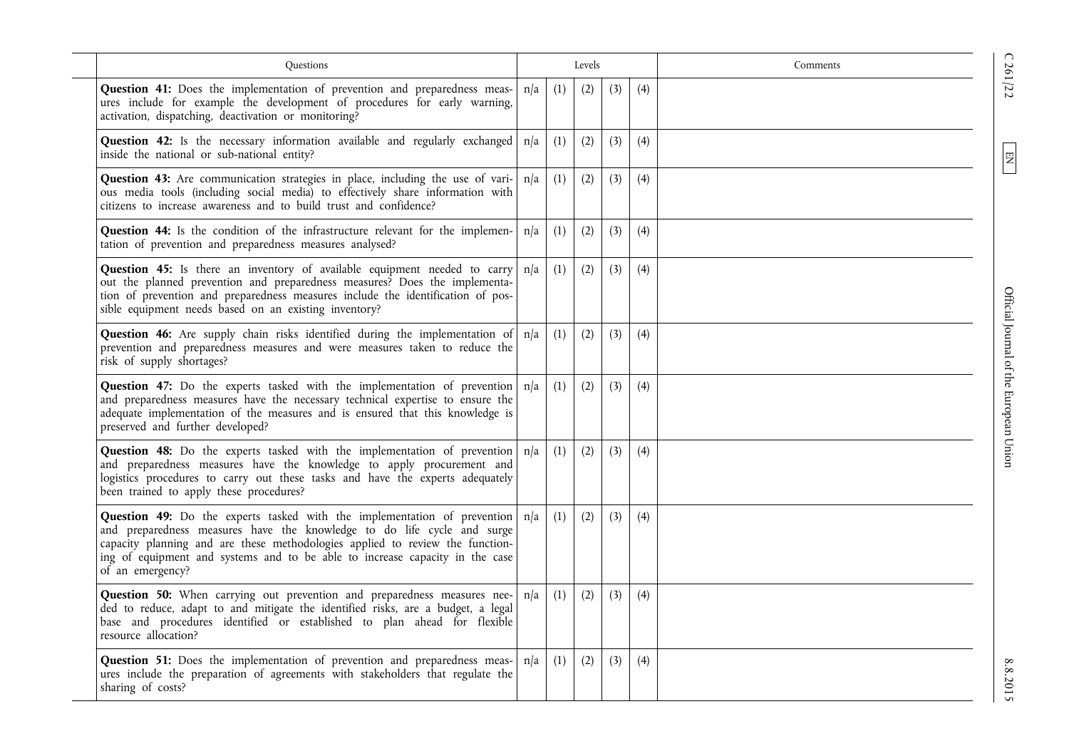| Questions                                                                                                                                                                                                                                                                                                                                             |     | Levels |     |     |     | Comments |
|-------------------------------------------------------------------------------------------------------------------------------------------------------------------------------------------------------------------------------------------------------------------------------------------------------------------------------------------------------|-----|--------|-----|-----|-----|----------|
| Question 41: Does the implementation of prevention and preparedness meas-<br>ures include for example the development of procedures for early warning,<br>activation, dispatching, deactivation or monitoring?                                                                                                                                        | n/a | (1)    | (2) | (3) | (4) |          |
| <b>Question 42:</b> Is the necessary information available and regularly exchanged $n/a$<br>inside the national or sub-national entity?                                                                                                                                                                                                               |     | (1)    | (2) | (3) | (4) |          |
| <b>Question 43:</b> Are communication strategies in place, including the use of vari- $ n/a $<br>ous media tools (including social media) to effectively share information with<br>citizens to increase awareness and to build trust and confidence?                                                                                                  |     | (1)    | (2) | (3) | (4) |          |
| Question 44: Is the condition of the infrastructure relevant for the implemen-<br>tation of prevention and preparedness measures analysed?                                                                                                                                                                                                            | n/a | (1)    | (2) | (3) | (4) |          |
| <b>Question 45:</b> Is there an inventory of available equipment needed to carry<br>out the planned prevention and preparedness measures? Does the implementa-<br>tion of prevention and preparedness measures include the identification of pos-<br>sible equipment needs based on an existing inventory?                                            | n/a | (1)    | (2) | (3) | (4) |          |
| Question 46: Are supply chain risks identified during the implementation of   n/a<br>prevention and preparedness measures and were measures taken to reduce the<br>risk of supply shortages?                                                                                                                                                          |     | (1)    | (2) | (3) | (4) |          |
| <b>Question 47:</b> Do the experts tasked with the implementation of prevention $n/a$<br>and preparedness measures have the necessary technical expertise to ensure the<br>adequate implementation of the measures and is ensured that this knowledge is<br>preserved and further developed?                                                          |     | (1)    | (2) | (3) | (4) |          |
| <b>Question 48:</b> Do the experts tasked with the implementation of prevention $n/a$<br>and preparedness measures have the knowledge to apply procurement and<br>logistics procedures to carry out these tasks and have the experts adequately<br>been trained to apply these procedures?                                                            |     | (1)    | (2) | (3) | (4) |          |
| <b>Question 49:</b> Do the experts tasked with the implementation of prevention $n/a$<br>and preparedness measures have the knowledge to do life cycle and surge<br>capacity planning and are these methodologies applied to review the function-<br>ing of equipment and systems and to be able to increase capacity in the case<br>of an emergency? |     | (1)    | (2) | (3) | (4) |          |
| <b>Question 50:</b> When carrying out prevention and preparedness measures nee-<br>ded to reduce, adapt to and mitigate the identified risks, are a budget, a legal<br>base and procedures identified or established to plan ahead for flexible<br>resource allocation?                                                                               | n/a | (1)    | (2) | (3) | (4) |          |
| Question 51: Does the implementation of prevention and preparedness meas-<br>ures include the preparation of agreements with stakeholders that regulate the<br>sharing of costs?                                                                                                                                                                      | n/a | (1)    | (2) | (3) | (4) |          |

EN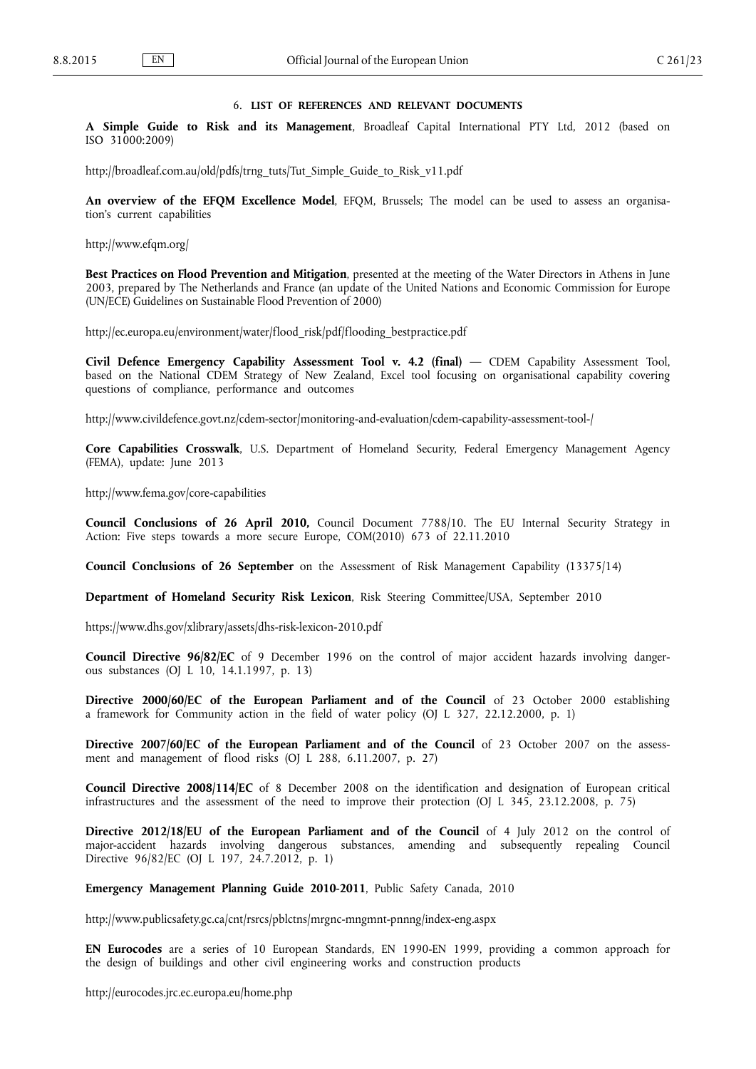# 6. **LIST OF REFERENCES AND RELEVANT DOCUMENTS**

<span id="page-18-0"></span>**A Simple Guide to Risk and its Management**, Broadleaf Capital International PTY Ltd, 2012 (based on ISO 31000:2009)

[http://broadleaf.com.au/old/pdfs/trng\\_tuts/Tut\\_Simple\\_Guide\\_to\\_Risk\\_v11.pdf](http://broadleaf.com.au/old/pdfs/trng_tuts/Tut_Simple_Guide_to_Risk_v11.pdf)

**An overview of the EFQM Excellence Model**, EFQM, Brussels; The model can be used to assess an organisation's current capabilities

<http://www.efqm.org/>

**Best Practices on Flood Prevention and Mitigation**, presented at the meeting of the Water Directors in Athens in June 2003, prepared by The Netherlands and France (an update of the United Nations and Economic Commission for Europe (UN/ECE) Guidelines on Sustainable Flood Prevention of 2000)

[http://ec.europa.eu/environment/water/flood\\_risk/pdf/flooding\\_bestpractice.pdf](http://ec.europa.eu/environment/water/flood_risk/pdf/flooding_bestpractice.pdf)

**Civil Defence Emergency Capability Assessment Tool v. 4.2 (final)** — CDEM Capability Assessment Tool, based on the National CDEM Strategy of New Zealand, Excel tool focusing on organisational capability covering questions of compliance, performance and outcomes

<http://www.civildefence.govt.nz/cdem-sector/monitoring-and-evaluation/cdem-capability-assessment-tool-/>

**Core Capabilities Crosswalk**, U.S. Department of Homeland Security, Federal Emergency Management Agency (FEMA), update: June 2013

<http://www.fema.gov/core-capabilities>

**Council Conclusions of 26 April 2010,** Council Document 7788/10. The EU Internal Security Strategy in Action: Five steps towards a more secure Europe, COM(2010) 673 of 22.11.2010

**Council Conclusions of 26 September** on the Assessment of Risk Management Capability (13375/14)

**Department of Homeland Security Risk Lexicon**, Risk Steering Committee/USA, September 2010

<https://www.dhs.gov/xlibrary/assets/dhs-risk-lexicon-2010.pdf>

**Council Directive 96/82/EC** of 9 December 1996 on the control of major accident hazards involving dangerous substances (OJ L 10, 14.1.1997, p. 13)

**Directive 2000/60/EC of the European Parliament and of the Council** of 23 October 2000 establishing a framework for Community action in the field of water policy (OJ L 327, 22.12.2000, p. 1)

**Directive 2007/60/EC of the European Parliament and of the Council** of 23 October 2007 on the assessment and management of flood risks (OJ L 288, 6.11.2007, p. 27)

**Council Directive 2008/114/EC** of 8 December 2008 on the identification and designation of European critical infrastructures and the assessment of the need to improve their protection (OJ L 345, 23.12.2008, p. 75)

**Directive 2012/18/EU of the European Parliament and of the Council** of 4 July 2012 on the control of major-accident hazards involving dangerous substances, amending and subsequently repealing Council Directive 96/82/EC (OJ L 197, 24.7.2012, p. 1)

**Emergency Management Planning Guide 2010-2011**, Public Safety Canada, 2010

<http://www.publicsafety.gc.ca/cnt/rsrcs/pblctns/mrgnc-mngmnt-pnnng/index-eng.aspx>

**EN Eurocodes** are a series of 10 European Standards, EN 1990-EN 1999, providing a common approach for the design of buildings and other civil engineering works and construction products

<http://eurocodes.jrc.ec.europa.eu/home.php>